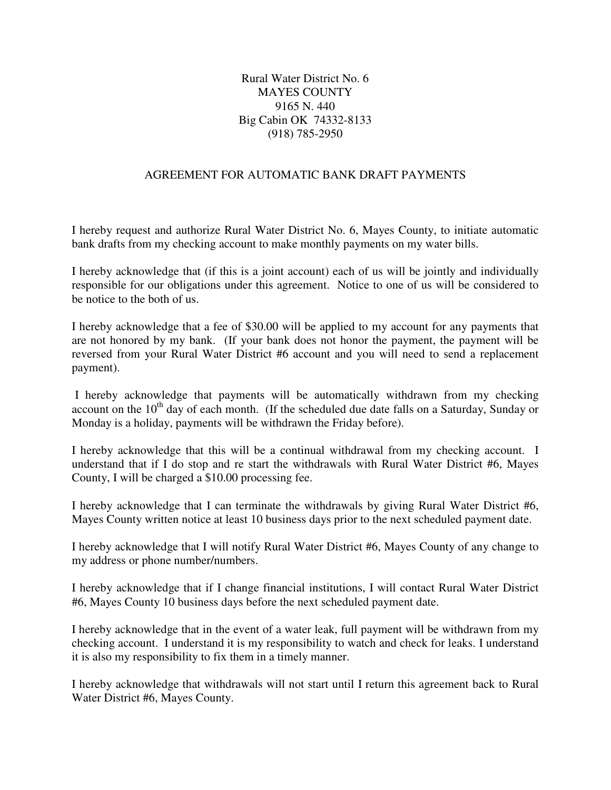## Rural Water District No. 6 MAYES COUNTY 9165 N. 440 Big Cabin OK 74332-8133 (918) 785-2950

## AGREEMENT FOR AUTOMATIC BANK DRAFT PAYMENTS

I hereby request and authorize Rural Water District No. 6, Mayes County, to initiate automatic bank drafts from my checking account to make monthly payments on my water bills.

I hereby acknowledge that (if this is a joint account) each of us will be jointly and individually responsible for our obligations under this agreement. Notice to one of us will be considered to be notice to the both of us.

I hereby acknowledge that a fee of \$30.00 will be applied to my account for any payments that are not honored by my bank. (If your bank does not honor the payment, the payment will be reversed from your Rural Water District #6 account and you will need to send a replacement payment).

 I hereby acknowledge that payments will be automatically withdrawn from my checking account on the  $10<sup>th</sup>$  day of each month. (If the scheduled due date falls on a Saturday, Sunday or Monday is a holiday, payments will be withdrawn the Friday before).

I hereby acknowledge that this will be a continual withdrawal from my checking account. I understand that if I do stop and re start the withdrawals with Rural Water District #6, Mayes County, I will be charged a \$10.00 processing fee.

I hereby acknowledge that I can terminate the withdrawals by giving Rural Water District #6, Mayes County written notice at least 10 business days prior to the next scheduled payment date.

I hereby acknowledge that I will notify Rural Water District #6, Mayes County of any change to my address or phone number/numbers.

I hereby acknowledge that if I change financial institutions, I will contact Rural Water District #6, Mayes County 10 business days before the next scheduled payment date.

I hereby acknowledge that in the event of a water leak, full payment will be withdrawn from my checking account. I understand it is my responsibility to watch and check for leaks. I understand it is also my responsibility to fix them in a timely manner.

I hereby acknowledge that withdrawals will not start until I return this agreement back to Rural Water District #6, Mayes County.